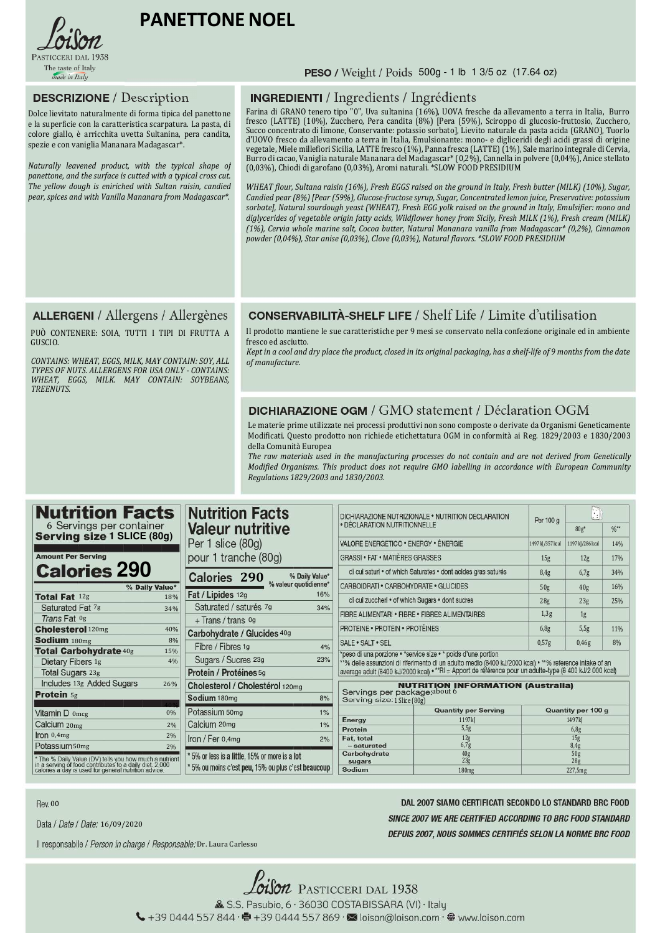

# **PANETTONENOEL**

## **DESCRIZIONE** / Description

Dolce lievitato naturalmente di forma tipica del panettone e la superficie con la caratteristica scarpatura. La pasta, di colore giallo, è arricchita uvetta Sultanina, pera candita, spezie e con vaniglia Mananara Madagascar\*.

*Naturally leavened product, with the typical shape of panettone, and the surface is cutted with a typical cross cut. The yellow dough is eniriched with Sultan raisin, candied pear, spices and with Vanilla Mananara from Madagascar\*.*

#### PESO / Weight / Poids 500g - 1 lb 1 3/5 oz (17.64 oz)

### **INGREDIENTI** / Ingredients / Ingrédients

Farina di GRANO tenero tipo "0", Uva sultanina (16%), UOVA fresche da allevamento a terra in Italia, Burro fresco (LATTE) (10%), Zucchero, Pera candita (8%) [Pera (59%), Sciroppo di glucosio-fruttosio, Zucchero, Succo concentrato di limone, Conservante: potassio sorbato], Lievito naturale da pasta acida (GRANO), Tuorlo d'UOVO fresco da allevamento a terra in Italia, Emulsionante: mono- e digliceridi degli acidi grassi di origine vegetale, Miele millefiori Sicilia, LATTE fresco (1%), Panna fresca (LATTE) (1%), Sale marino integrale di Cervia, Burro di cacao, Vaniglia naturale Mananara del Madagascar\* (0,2%), Cannella in polvere (0,04%), Anice stellato (0,03%), Chiodi di garofano (0,03%), Aromi naturali. \*SLOW FOOD PRESIDIUM

*WHEAT flour, Sultana raisin (16%), Fresh EGGS raised on the ground in Italy, Fresh butter (MILK) (10%), Sugar, Candied pear (8%) [Pear (59%), Glucose-fructose syrup, Sugar, Concentrated lemon juice, Preservative: potassium sorbate], Natural sourdough yeast (WHEAT), Fresh EGG yolk raised on the ground in Italy, Emulsifier: mono and diglycerides of vegetable origin fatty acids, Wildflower honey from Sicily, Fresh MILK (1%), Fresh cream (MILK) (1%), Cervia whole marine salt, Cocoa butter, Natural Mananara vanilla from Madagascar\* (0,2%), Cinnamon powder (0,04%), Star anise (0,03%), Clove (0,03%), Natural flavors. \*SLOW FOOD PRESIDIUM*

### **ALLERGENI** / Allergens / Allergènes

PUÒ CONTENERE: SOIA, TUTTI I TIPI DI FRUTTA A GUSCIO.

*CONTAINS: WHEAT, EGGS, MILK, MAY CONTAIN: SOY, ALL TYPES OF NUTS. ALLERGENS FOR USA ONLY - CONTAINS: WHEAT, EGGS, MILK. MAY CONTAIN: SOYBEANS, TREENUTS.*

### **CONSERVABILITÀ-SHELF LIFE / Shelf Life / Limite d'utilisation**

Il prodotto mantiene le sue caratteristiche per 9 mesi se conservato nella confezione originale ed in ambiente fresco ed asciutto.

*Kept in a cool and dry place the product, closed in its original packaging, has a shelf-life of 9 months from the date of manufacture.*

### **DICHIARAZIONE OGM / GMO statement / Déclaration OGM**

Le materie prime utilizzate nei processi produttivi non sono composte o derivate da Organismi Geneticamente Modificati. Questo prodotto non richiede etichettatura OGM in conformità ai Reg. 1829/2003 e 1830/2003 della Comunità Europea

*The raw materials used in the manufacturing processes do not contain and are not derived from Genetically Modified Organisms. This product does not require GMO labelling in accordance with European Community Regulations 1829/2003 and 1830/2003.*

| <b>Nutrition Facts</b><br><b>Nutrition Facts</b><br>6 Servings per container |                                                                                                                                                                                                                                                                  |                                           |                                                                                                                                                                                                                                                                                                                                                                                                               | H                         |                                                                                                                                                                                                                                                                                            |  |  |  |
|------------------------------------------------------------------------------|------------------------------------------------------------------------------------------------------------------------------------------------------------------------------------------------------------------------------------------------------------------|-------------------------------------------|---------------------------------------------------------------------------------------------------------------------------------------------------------------------------------------------------------------------------------------------------------------------------------------------------------------------------------------------------------------------------------------------------------------|---------------------------|--------------------------------------------------------------------------------------------------------------------------------------------------------------------------------------------------------------------------------------------------------------------------------------------|--|--|--|
|                                                                              |                                                                                                                                                                                                                                                                  |                                           |                                                                                                                                                                                                                                                                                                                                                                                                               | $80g*$                    | $\frac{96}{10}$                                                                                                                                                                                                                                                                            |  |  |  |
| Per 1 slice (80g)                                                            | VALORE ENERGETICO . ENERGY . ÉNERGIE                                                                                                                                                                                                                             |                                           | 1497kJ/357kcal                                                                                                                                                                                                                                                                                                                                                                                                | 1197kJ/286kcal            | 14%                                                                                                                                                                                                                                                                                        |  |  |  |
| pour 1 tranche (80g)                                                         |                                                                                                                                                                                                                                                                  | 15 <sub>g</sub>                           | 12g                                                                                                                                                                                                                                                                                                                                                                                                           | 17%                       |                                                                                                                                                                                                                                                                                            |  |  |  |
| % Daily Value*                                                               | di cui saturi • of which Saturates • dont acides gras saturés                                                                                                                                                                                                    |                                           | 8.4g                                                                                                                                                                                                                                                                                                                                                                                                          | 6.7g                      | 34%                                                                                                                                                                                                                                                                                        |  |  |  |
| % valeur quotidienne*                                                        |                                                                                                                                                                                                                                                                  |                                           | 50 <sub>g</sub>                                                                                                                                                                                                                                                                                                                                                                                               | 40g                       | 16%                                                                                                                                                                                                                                                                                        |  |  |  |
|                                                                              |                                                                                                                                                                                                                                                                  | 28 <sub>g</sub>                           | 23g                                                                                                                                                                                                                                                                                                                                                                                                           | 25%                       |                                                                                                                                                                                                                                                                                            |  |  |  |
|                                                                              |                                                                                                                                                                                                                                                                  |                                           |                                                                                                                                                                                                                                                                                                                                                                                                               |                           |                                                                                                                                                                                                                                                                                            |  |  |  |
|                                                                              |                                                                                                                                                                                                                                                                  |                                           |                                                                                                                                                                                                                                                                                                                                                                                                               |                           |                                                                                                                                                                                                                                                                                            |  |  |  |
| Carbohydrate / Glucides 40g                                                  |                                                                                                                                                                                                                                                                  |                                           |                                                                                                                                                                                                                                                                                                                                                                                                               | 11%                       |                                                                                                                                                                                                                                                                                            |  |  |  |
|                                                                              | SALE · SALT · SEL                                                                                                                                                                                                                                                | 0.57g                                     | 0.46g                                                                                                                                                                                                                                                                                                                                                                                                         | 8%                        |                                                                                                                                                                                                                                                                                            |  |  |  |
|                                                                              | *peso di una porzione · *service size · * poids d'une portion                                                                                                                                                                                                    |                                           |                                                                                                                                                                                                                                                                                                                                                                                                               |                           |                                                                                                                                                                                                                                                                                            |  |  |  |
|                                                                              |                                                                                                                                                                                                                                                                  |                                           |                                                                                                                                                                                                                                                                                                                                                                                                               |                           |                                                                                                                                                                                                                                                                                            |  |  |  |
|                                                                              |                                                                                                                                                                                                                                                                  |                                           |                                                                                                                                                                                                                                                                                                                                                                                                               |                           |                                                                                                                                                                                                                                                                                            |  |  |  |
| Cholesterol / Cholestérol 120mg                                              | <b>NUTRITION INFORMATION (Australia)</b>                                                                                                                                                                                                                         |                                           |                                                                                                                                                                                                                                                                                                                                                                                                               |                           |                                                                                                                                                                                                                                                                                            |  |  |  |
| Sodium 180mg<br>8%                                                           | Serving size: 1 Slice (80g)                                                                                                                                                                                                                                      |                                           |                                                                                                                                                                                                                                                                                                                                                                                                               |                           |                                                                                                                                                                                                                                                                                            |  |  |  |
| Potassium 50mg<br>1%                                                         |                                                                                                                                                                                                                                                                  | <b>Quantity per Serving</b>               | Quantity per 100 g                                                                                                                                                                                                                                                                                                                                                                                            |                           |                                                                                                                                                                                                                                                                                            |  |  |  |
|                                                                              | Energy                                                                                                                                                                                                                                                           | 1197kJ                                    | 1497kJ                                                                                                                                                                                                                                                                                                                                                                                                        |                           |                                                                                                                                                                                                                                                                                            |  |  |  |
|                                                                              |                                                                                                                                                                                                                                                                  |                                           |                                                                                                                                                                                                                                                                                                                                                                                                               |                           |                                                                                                                                                                                                                                                                                            |  |  |  |
|                                                                              | - saturated                                                                                                                                                                                                                                                      | 6.7 <sub>g</sub>                          |                                                                                                                                                                                                                                                                                                                                                                                                               | 8,4g                      |                                                                                                                                                                                                                                                                                            |  |  |  |
| *5% or less is a little, 15% or more is a lot                                | Carbohydrate                                                                                                                                                                                                                                                     |                                           |                                                                                                                                                                                                                                                                                                                                                                                                               | 50g                       |                                                                                                                                                                                                                                                                                            |  |  |  |
| * 5% ou moins c'est peu, 15% ou plus c'est beaucoup :                        |                                                                                                                                                                                                                                                                  |                                           |                                                                                                                                                                                                                                                                                                                                                                                                               |                           |                                                                                                                                                                                                                                                                                            |  |  |  |
|                                                                              | <b>Valeur nutritive</b><br>Calories 290<br>Fat / Lipides 12g<br>16%<br>Saturated / saturés 7g<br>34%<br>+ Trans / trans 0g<br>Fibre / Fibres 1g<br>4%<br>Sugars / Sucres 23g<br>23%<br>Protein / Protéines 5g<br>Calcium 20mg<br>1%<br>Iron / Fer $0,4$ mg<br>2% | Protein<br>Fat, total<br>sugars<br>Sodium | DICHIARAZIONE NUTRIZIONALE . NUTRITION DECLARATION<br>. DÉCLARATION NUTRITIONNELLE<br><b>GRASSI • FAT • MATIÈRES GRASSES</b><br>CARBOIDRATI . CARBOHYDRATE . GLUCIDES<br>di cui zuccheri · of which Sugars · dont sucres<br>FIBRE ALIMENTARI . FIBRE . FIBRES ALIMENTAIRES<br><b>PROTEINE • PROTEIN • PROTÉINES</b><br>Servings per package: about 6<br>5,5g<br>12 <sub>g</sub><br>$\frac{40g}{23g}$<br>180mg | Per 100 g<br>1,3g<br>6,8g | 1g<br>5,5g<br>**% delle assunzioni di riferimento di un adulto medio (8400 kJ/2000 kcal) · **% reference intake of an<br>average adult (8400 kJ/2000 kcal) · **RI = Apport de référence pour un adulte-type (8 400 kJ/2 000 kcal)<br>6,8g<br>15 <sub>g</sub><br>28 <sub>g</sub><br>227.5mg |  |  |  |

**Rev. 00** 

DAL 2007 SIAMO CERTIFICATI SECONDO LO STANDARD BRC FOOD SINCE 2007 WE ARE CERTIFIED ACCORDING TO BRC FOOD STANDARD DEPUIS 2007, NOUS SOMMES CERTIFIÉS SELON LA NORME BRC FOOD

Il responsabile / Person in charge / Responsable: Dr. Laura Carlesso

Data / Date / Date: 16/09/2020

*Oison* Pasticceri dal 1938 & S.S. Pasubio, 6 · 36030 COSTABISSARA (VI) · Italy ↓+39 0444 557 844 · ●+39 0444 557 869 · ■ loison@loison.com · ● www.loison.com